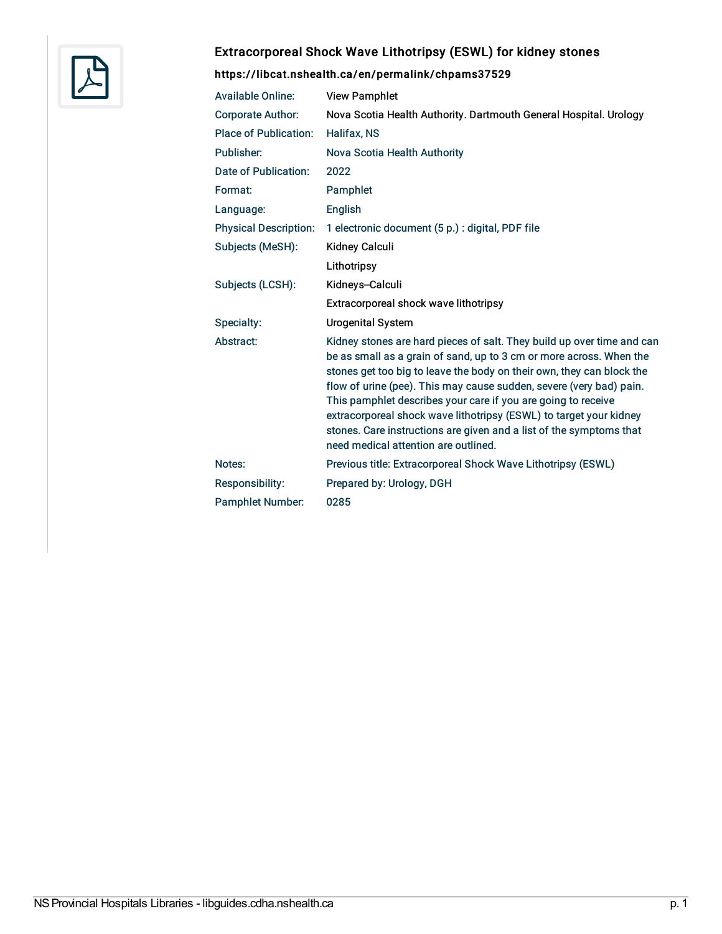

## Extracorporeal Shock Wave Lithotripsy (ESWL) for kidney stones

## <https://libcat.nshealth.ca/en/permalink/chpams37529>

| <b>Available Online:</b>     | <b>View Pamphlet</b>                                                                                                                                                                                                                                                                                                                                                                                                                                                                                                                                |
|------------------------------|-----------------------------------------------------------------------------------------------------------------------------------------------------------------------------------------------------------------------------------------------------------------------------------------------------------------------------------------------------------------------------------------------------------------------------------------------------------------------------------------------------------------------------------------------------|
| <b>Corporate Author:</b>     | Nova Scotia Health Authority. Dartmouth General Hospital. Urology                                                                                                                                                                                                                                                                                                                                                                                                                                                                                   |
| Place of Publication:        | Halifax, NS                                                                                                                                                                                                                                                                                                                                                                                                                                                                                                                                         |
| Publisher:                   | Nova Scotia Health Authority                                                                                                                                                                                                                                                                                                                                                                                                                                                                                                                        |
| Date of Publication:         | 2022                                                                                                                                                                                                                                                                                                                                                                                                                                                                                                                                                |
| Format:                      | Pamphlet                                                                                                                                                                                                                                                                                                                                                                                                                                                                                                                                            |
| Language:                    | English                                                                                                                                                                                                                                                                                                                                                                                                                                                                                                                                             |
| <b>Physical Description:</b> | 1 electronic document (5 p.) : digital, PDF file                                                                                                                                                                                                                                                                                                                                                                                                                                                                                                    |
| Subjects (MeSH):             | <b>Kidney Calculi</b>                                                                                                                                                                                                                                                                                                                                                                                                                                                                                                                               |
|                              | Lithotripsy                                                                                                                                                                                                                                                                                                                                                                                                                                                                                                                                         |
| Subjects (LCSH):             | Kidneys-Calculi                                                                                                                                                                                                                                                                                                                                                                                                                                                                                                                                     |
|                              | Extracorporeal shock wave lithotripsy                                                                                                                                                                                                                                                                                                                                                                                                                                                                                                               |
| Specialty:                   | <b>Urogenital System</b>                                                                                                                                                                                                                                                                                                                                                                                                                                                                                                                            |
| Abstract:                    | Kidney stones are hard pieces of salt. They build up over time and can<br>be as small as a grain of sand, up to 3 cm or more across. When the<br>stones get too big to leave the body on their own, they can block the<br>flow of urine (pee). This may cause sudden, severe (very bad) pain.<br>This pamphlet describes your care if you are going to receive<br>extracorporeal shock wave lithotripsy (ESWL) to target your kidney<br>stones. Care instructions are given and a list of the symptoms that<br>need medical attention are outlined. |
| Notes:                       | Previous title: Extracorporeal Shock Wave Lithotripsy (ESWL)                                                                                                                                                                                                                                                                                                                                                                                                                                                                                        |
| Responsibility:              | Prepared by: Urology, DGH                                                                                                                                                                                                                                                                                                                                                                                                                                                                                                                           |
| <b>Pamphlet Number:</b>      | 0285                                                                                                                                                                                                                                                                                                                                                                                                                                                                                                                                                |